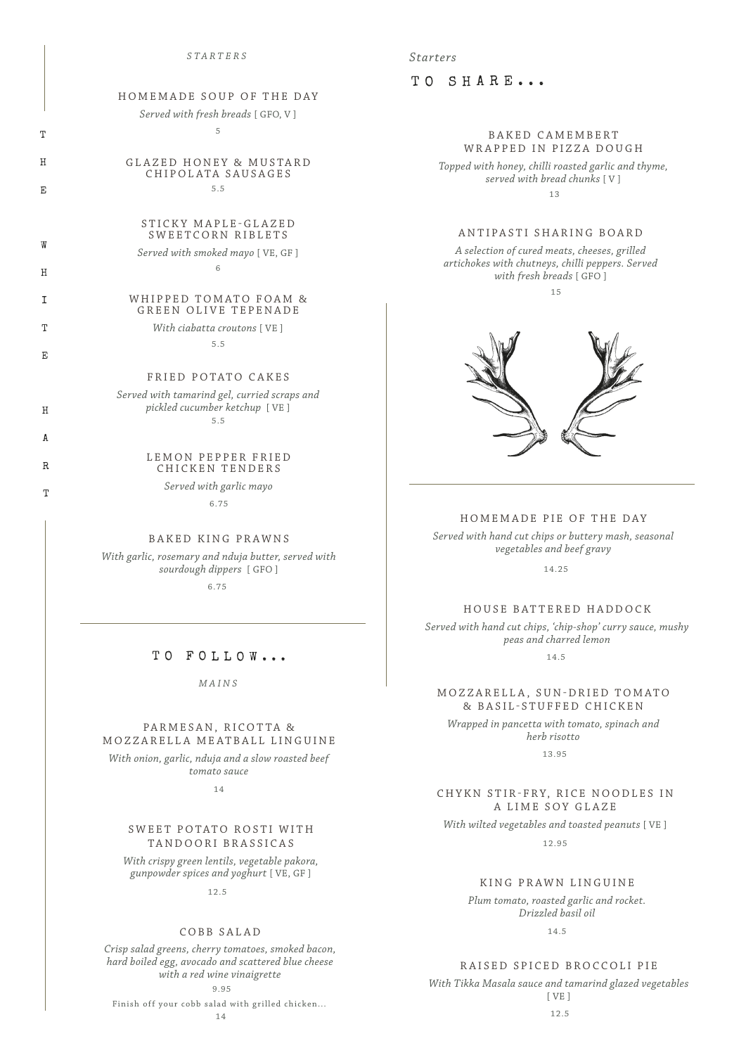#### *STARTERS Starters*

# HOMEMADE SOUP OF THE DAY

*Served with fresh breads* [ GFO, V ] 5

GLAZED HONEY & MUSTARD CHIPOLATA SAUSAGES

5.5

# T

H

E

W

H

I

T

E

H

A

R

T

# STICKY MAPLE-GLAZED

# SWEETCORN RIBLETS

*Served with smoked mayo* [ VE, GF ] 6

#### WHIPPED TOMATO FOAM & GREEN OLIVE TEPENADE

*With ciabatta croutons* [ VE ]

5.5

# FRIED POTATO CAKES

*Served with tamarind gel, curried scraps and pickled cucumber ketchup* [ VE ] 5.5

#### LEMON PEPPER FRIED CHICKEN TENDERS

*Served with garlic mayo*

6.75

#### BAKED KING PRAWNS

*With garlic, rosemary and nduja butter, served with sourdough dippers* [ GFO ]

6.75

# TO FOLLOW...

*MAINS*

#### PARMESAN, RICOTTA & MOZZARELLA MEATBALL LINGUINE

*With onion, garlic, nduja and a slow roasted beef tomato sauce*

14

# SWEET POTATO ROSTI WITH TANDOORI BRASSICAS

*With crispy green lentils, vegetable pakora, gunpowder spices and yoghurt* [ VE, GF ]

12.5

#### COBB SALAD

*Crisp salad greens, cherry tomatoes, smoked bacon, hard boiled egg, avocado and scattered blue cheese with a red wine vinaigrette* 9.95

Finish off your cobb salad with grilled chicken...

TO SHARE...

# BAKED CAMEMBERT WRAPPED IN PIZZA DOUGH

*Topped with honey, chilli roasted garlic and thyme, served with bread chunks* [ V ] 13

# ANTIPASTI SHARING BOARD

*A selection of cured meats, cheeses, grilled artichokes with chutneys, chilli peppers. Served with fresh breads* [ GFO ]

15



# HOMEMADE PIE OF THE DAY

*Served with hand cut chips or buttery mash, seasonal vegetables and beef gravy*

14.25

### HOUSE BATTERED HADDOCK

*Served with hand cut chips, 'chip-shop' curry sauce, mushy peas and charred lemon*

14.5

# M O Z Z A R E L L A , S U N - D R I E D T O M A T O & BASIL-STUFFED CHICKEN

*Wrapped in pancetta with tomato, spinach and herb risotto*

13.95

# CHYKN STIR-FRY, RICE NOODLES IN A LIME SOY GLAZE

*With wilted vegetables and toasted peanuts* [ VE ]

12.95

# KING PRAWN LINGUINE

*Plum tomato, roasted garlic and rocket. Drizzled basil oil*

14.5

# RAISED SPICED BROCCOLI PIE

*With Tikka Masala sauce and tamarind glazed vegetables* [ VE ]

12.5